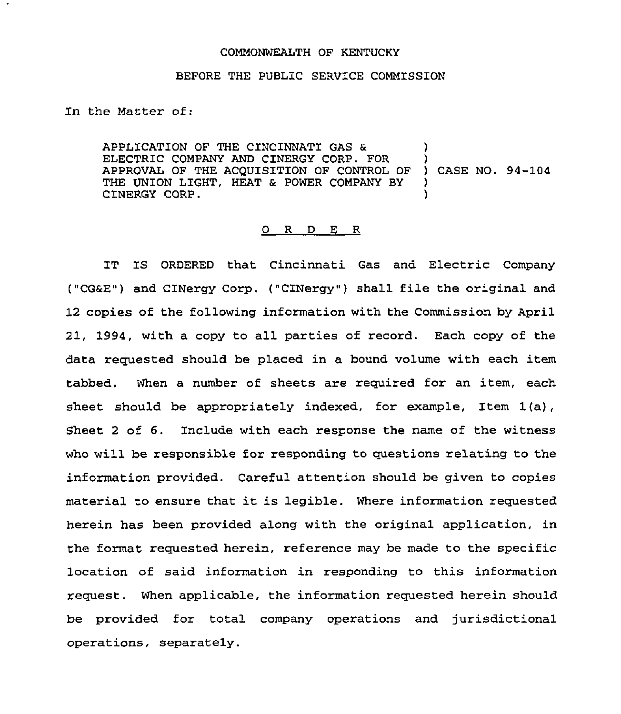## COMMONWEALTH OF KENTUCKY

## BEFORE THE PUBLIC SERVICE COMMISSION

In the Matter of:

APPLICATION OF THE CINCINNATI GAS & ) ELECTRIC COMPANY AND CINERGY CORP. FOR APPROVAL OF THE ACQUISITION OF CONTROL OF ) CASE NO. 94-104 THE UNION LIGHT, HEAT & POWER COMPANY BY ) CINERGY CORP.

## 0 R D E R

IT IS ORDERED that Cincinnati Gas and Electric Company ("CG&E") and CINergy Corp. ("CINergy") shall file the original and 12 copies of the following information with the Commission by April 21, 1994, with a copy to all parties of record. Each copy of the data requested should be placed in a bound volume with each item tabbed. When a number of sheets are required for an item, each sheet should be appropriately indexed, for example, Item 1(a), Sheet <sup>2</sup> of 6. Include with each response the name of the witness who will be responsible for responding to questions relating to the information provided. Careful attention should be given to copies material to ensure that it is legible. Where information requested herein has been provided along with the original application, in the format requested herein, reference may be made to the specific location of said information in responding to this information request. When applicable, the information requested herein should be provided for total company operations and jurisdictional operations, separately.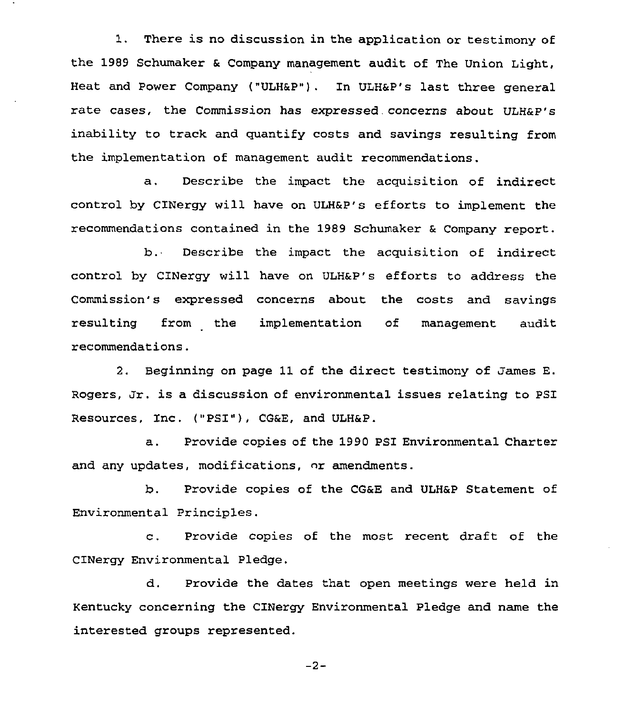1. There is no discussion in the application or testimony of the 1989 Schumaker & Company management audit of The Union Light, Heat and Power Company ("ULH&P"). In ULH&P's last three general rate cases, the Commission has expressed concerns about ULH&P's inability to track and quantify costs and savings resulting from the implementation of management audit recommendations.

a. Describe the impact the acquisition of indirect control by CINergy will have on ULH&P's efforts to implement the recommendations contained in the 1989 Schumaker & Company report.

b. Describe the impact the acquisition of indirect control by CINergy will have on ULH&P's efforts to address the Commission's expressed concerns about the costs and savings resulting from the implementation of management audit recommendations.

2. Beginning on page 11 of the direct testimony of James E. Rogers, Jr. is <sup>a</sup> discussion of environmental issues relating to PSI Resources, Inc. ("PSI"), CG&E, and ULH&P.

a. Provide copies of the 1990 PSI Environmental Charter and any updates, modifications, nr amendments.

b. Provide copies of the CG&E and ULH&P Statement of Environmental Principles.

c. Provide copies of the most recent draft of the CINergy Environmental Pledge.

d. Provide the dates that open meetings were held in Kentucky concerning the CINergy Environmental Pledge and name the interested groups represented.

 $-2-$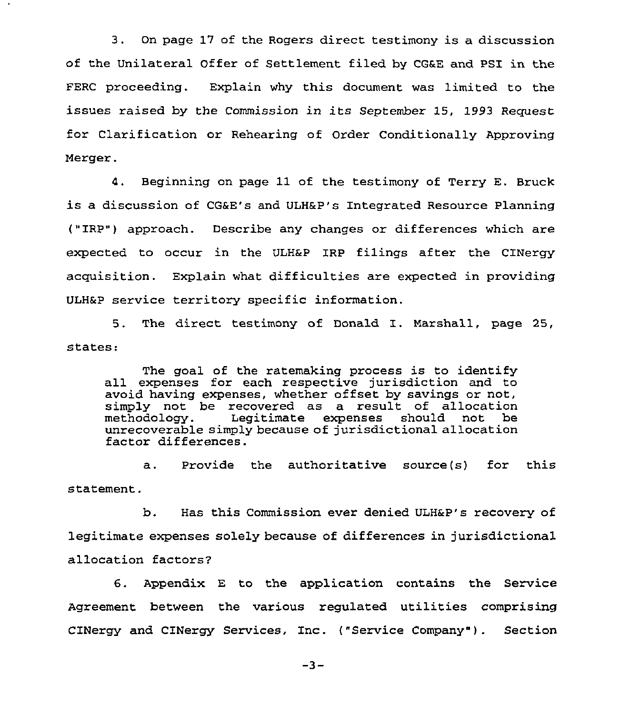3. On page 17 of the Rogers direct testimony is a discussion of the Unilateral Offer of Settlement filed by CG&E and PSI in the FERC proceeding. Explain why this document was limited to the issues raised by the Commission in its September 15, 1993 Request for Clarification or Rehearing of Order Conditionally Approving Merger.

4. Beginning on page 11 of the testimony of Terry E. Bruck is a discussion of CG&E's and ULH&P's Integrated Resource Planning ("IRP") approach. Describe any changes or differences which are expected to occur in the ULH&P IRP filings after the CINergy acquisition. Explain what difficulties are expected in providing ULH&P service territory specific information.

5. The direct testimony of Donald I. Marshall, page 25, states:

The goal of the ratemaking process is to identify all expenses for each respective jurisdiction and to avoid having expenses, whether offset by savings or not, simply not be recovered as a result of allocation Legitimate expenses should not unrecoverable simply because of jurisdictional allocation factor differences.

a. Provide the authoritative source(s) for this statement.

b. Has this Commission ever denied ULH&P's recovery of legitimate expenses solely because of differences in jurisdictional allocation factors?

6. Appendix E to the application contains the Service Agreement between the various regulated utilities comprising CINergy and CINergy Services, Inc. ("Service Company" ). Section

 $-3-$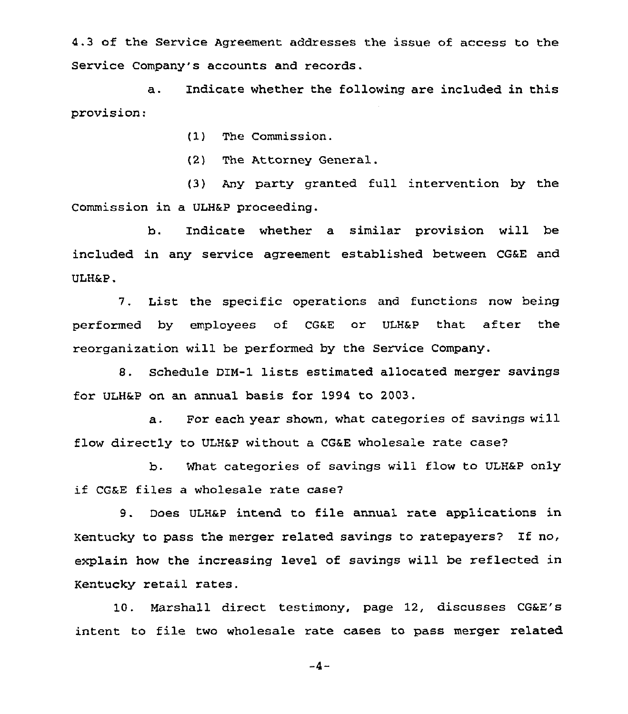4.3 of the Service Agreement addresses the issue of access to the Service Company's accounts and records.

a. Indicate whether the following are included in this provision:

(1) The Commission.

(2) The Attorney General.

(3) Any party granted full intervention by the Commission in a ULH&P proceeding.

b. Indicate whether a similar provision will be included in any service agreement established between CG&E and ULH&P.

7. List the specific operatiors and functions now being performed by employees of CG&E or ULH&P that after the reorganization will be performed by the Service Company.

8. Schedule DIM-1 lists estimated allocated merger savings for ULH&P on an annual basis for 1994 to 2003.

a. For each year shown, what categories of savings will flow directly to ULH&P without a CG&E wholesale rate case?

b. What categories of savings will flow to ULH&P only if cG&E files <sup>a</sup> wholesale rate case?

9. Does ULH&P intend to file annual rate applications in Kentucky to pass the merger related savings to ratepayers? If no, explain how the increasing level of savings will be reflected in Kentucky retail rates.

10. Marshall direct testimony, page 12, discusses CG&E's intent to file two wholesale rate cases to pass merger related

 $-4-$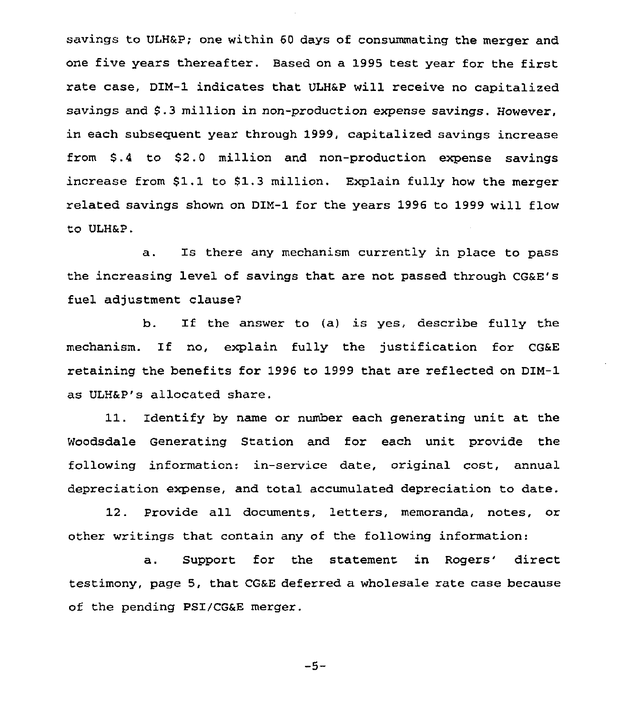savings to ULH&P; one within 60 days of consummating the merger and one five years thereafter. Based on a 1995 test year for the first rate case, DIM-1 indicates that ULH&P will receive no capitalized savings and \$.3 million in non-production expense savings. However, in each subsequent year through 1999, capitalized savings increase from \$.4 to \$2.0 million and non-production expense savings increase from \$1.1 to \$1.3 million. Explain fully how the merger related savings shown on DIM-1 for the years 1996 to 1999 will flow to ULH&P.

a. Is there any mechanism currently in place to pass the increasing level of savings that are not passed through CG&E's fuel adjustment clause?

b. If the answer to (a) is yes, describe fully the mechanism. If no, explain fully the justification for CG&E retaining the benefits for 1996 to 1999 that are reflected on DIM-1 as ULH&P\*s allocated share.

11. Identify by name or number each generating unit at the Woodsdale Generating Station and for each unit provide the following information; in-service date, original cost, annual depreciation expense, and total accumulated depreciation to date.

12. Provide all documents, letters, memoranda, notes, or other writings that contain any of the following information:

a. Support for the statement in Rogers' direct testimony, page 5, that CG&E deferred a wholesale rate case because of the pending PSI/CG&E merger.

$$
-5 -
$$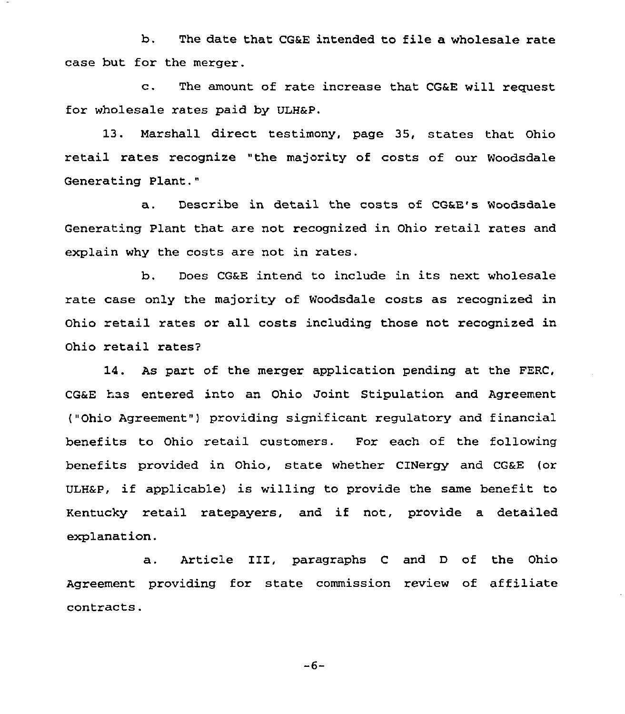b. The date that CG&E intended to file a wholesale rate case but for the merger.

c. The amount of rate increase that CG&E will request for wholesale rates paid by ULH&P.

13. Marshall direct testimony, page 35, states that Ohio retail rates recognize "the majority of costs of our Woodsdale Generating Plant."

a. Describe in detail the costs of CG&E's Woodsdale Generating Plant that are not recognized in Ohio retail rates and explain why the costs are not in rates.

b. Does CG&E intend to include in its next wholesale rate case only the majority of woodsdale costs as recognized in Ohio retail rates or all costs including those not recognized in Ohio retail

14. As part of the merger application pending at the FERC, CG&E has entered into an Ohio Joint Stipulation and Agreement ("Ohio Agreement" ) providing significant regulatory and financial benefits to Ohio retail customers. For each of the following benefits provided in Ohio, state whether CINergy and CG&E (or ULH&P, if applicable) is willing to provide the same benefit to Kentucky retail ratepayers, and if not, provide a detailed explanation.

a. Article III, paragraphs <sup>C</sup> and <sup>D</sup> of the Ohio Agreement providing for state commission review of affiliate contracts.

 $-6-$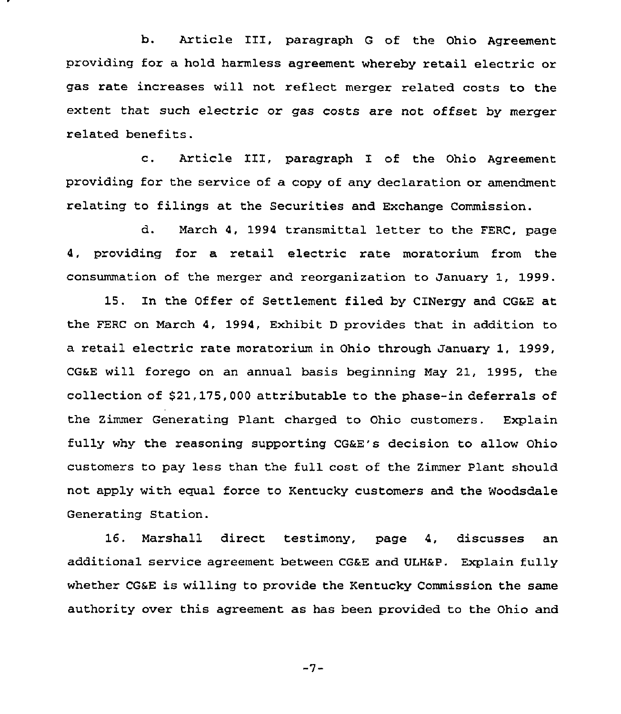b. Article III, paragraph <sup>G</sup> of the Ohio Agreement providing for a hold harmless agreement whereby retail electric or gas rate increases will not reflect merger related costs to the extent that such electric or gas costs are not offset by merger related benefits.

c. Article III, paragraph I of the Ohio Agreement providing for the service of a copy of any declaration or amendment relating to filings at the Securities and Exchange Commission.

d. March 4, 1994 transmittal letter to the FERC, page 4, providing for a retail electric rate moratorium from the consummation of the merger and reorganization to January 1, 1999.

15. In the Offer of Settlement filed by CINergy and CG&E at the FERC on March 4, 1994, Exhibit <sup>D</sup> provides that in addition to a retail electric rate moratorium in Ohio through January 1, 1999, CGEE will forego on an annual basis beginning May 21, 1995, the collection of \$21,175,000 attributable to the phase-in deferrals of the Zimmer Generating Plant charged to Ohio customers. Explain fully why the reasoning supporting CGSE's decision to allow Ohio customers to pay less than the full cost of the Zimmer Plant should not apply with equal force to Kentucky customers and the Woodsdale Generating Station.

16. Marshall direct testimony, page 4, discusses an additional service agreement between CG6E and ULH6P. Explain fully whether CG&E is willing to provide the Kentucky Commission the same authority over this agreement as has been provided to the Ohio and

-7-